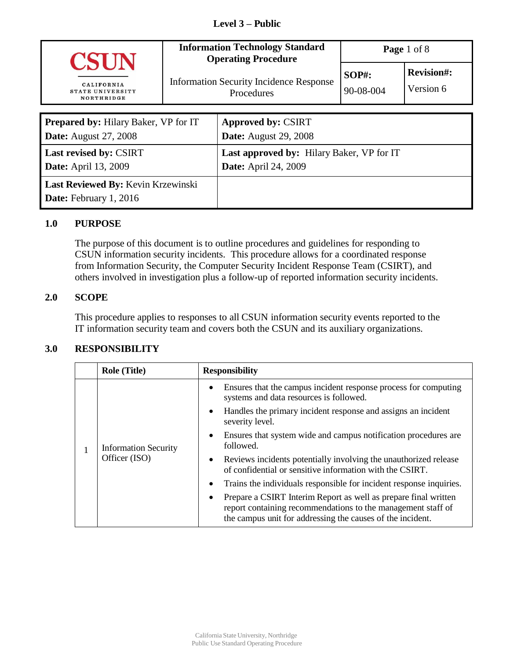#### **Level 3 – Public**

| <b>CSIN</b>                                  |                                                              | <b>Information Technology Standard</b><br><b>Operating Procedure</b> | Page 1 of 8                    |  |
|----------------------------------------------|--------------------------------------------------------------|----------------------------------------------------------------------|--------------------------------|--|
| CALIFORNIA<br>STATE UNIVERSITY<br>NORTHRIDGE | <b>Information Security Incidence Response</b><br>Procedures | $SOP#$ :<br>90-08-004                                                | <b>Revision#:</b><br>Version 6 |  |
| <b>Prepared by: Hilary Baker, VP for IT</b>  |                                                              | <b>Approved by: CSIRT</b>                                            |                                |  |

| <b>Prepared by: Hilary Baker, VP for IT</b> | Approved by: CSIRT                               |
|---------------------------------------------|--------------------------------------------------|
| <b>Date:</b> August 27, 2008                | <b>Date:</b> August 29, 2008                     |
| <b>Last revised by: CSIRT</b>               | <b>Last approved by: Hilary Baker, VP for IT</b> |
| <b>Date:</b> April 13, 2009                 | <b>Date:</b> April 24, 2009                      |
| <b>Last Reviewed By: Kevin Krzewinski</b>   |                                                  |
| <b>Date:</b> February 1, 2016               |                                                  |

#### **1.0 PURPOSE**

The purpose of this document is to outline procedures and guidelines for responding to CSUN information security incidents. This procedure allows for a coordinated response from Information Security, the Computer Security Incident Response Team (CSIRT), and others involved in investigation plus a follow-up of reported information security incidents.

#### **2.0 SCOPE**

This procedure applies to responses to all CSUN information security events reported to the IT information security team and covers both the CSUN and its auxiliary organizations.

### **3.0 RESPONSIBILITY**

| <b>Role (Title)</b>                          | <b>Responsibility</b>                                                                                                                                                                         |
|----------------------------------------------|-----------------------------------------------------------------------------------------------------------------------------------------------------------------------------------------------|
| <b>Information Security</b><br>Officer (ISO) | Ensures that the campus incident response process for computing<br>systems and data resources is followed.                                                                                    |
|                                              | Handles the primary incident response and assigns an incident<br>severity level.                                                                                                              |
|                                              | Ensures that system wide and campus notification procedures are<br>followed.                                                                                                                  |
|                                              | Reviews incidents potentially involving the unauthorized release<br>of confidential or sensitive information with the CSIRT.                                                                  |
|                                              | Trains the individuals responsible for incident response inquiries.                                                                                                                           |
|                                              | Prepare a CSIRT Interim Report as well as prepare final written<br>report containing recommendations to the management staff of<br>the campus unit for addressing the causes of the incident. |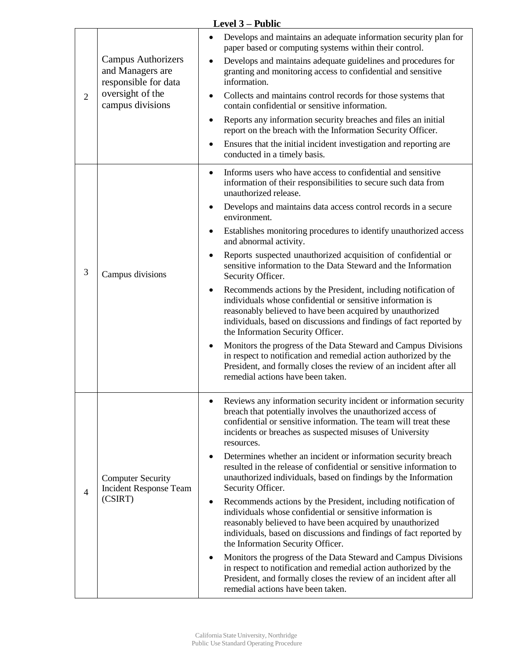| $\overline{2}$ | <b>Campus Authorizers</b><br>and Managers are<br>responsible for data<br>oversight of the<br>campus divisions | Develops and maintains an adequate information security plan for<br>paper based or computing systems within their control.<br>Develops and maintains adequate guidelines and procedures for<br>granting and monitoring access to confidential and sensitive<br>information.<br>Collects and maintains control records for those systems that<br>contain confidential or sensitive information.<br>Reports any information security breaches and files an initial<br>report on the breach with the Information Security Officer.<br>Ensures that the initial incident investigation and reporting are<br>conducted in a timely basis.                                                                                                                                                                                                                                                                                                                                                                                                                                        |  |  |
|----------------|---------------------------------------------------------------------------------------------------------------|-----------------------------------------------------------------------------------------------------------------------------------------------------------------------------------------------------------------------------------------------------------------------------------------------------------------------------------------------------------------------------------------------------------------------------------------------------------------------------------------------------------------------------------------------------------------------------------------------------------------------------------------------------------------------------------------------------------------------------------------------------------------------------------------------------------------------------------------------------------------------------------------------------------------------------------------------------------------------------------------------------------------------------------------------------------------------------|--|--|
| 3              | Campus divisions                                                                                              | Informs users who have access to confidential and sensitive<br>$\bullet$<br>information of their responsibilities to secure such data from<br>unauthorized release.<br>Develops and maintains data access control records in a secure<br>environment.<br>Establishes monitoring procedures to identify unauthorized access<br>and abnormal activity.<br>Reports suspected unauthorized acquisition of confidential or<br>sensitive information to the Data Steward and the Information<br>Security Officer.<br>Recommends actions by the President, including notification of<br>individuals whose confidential or sensitive information is<br>reasonably believed to have been acquired by unauthorized<br>individuals, based on discussions and findings of fact reported by<br>the Information Security Officer.<br>Monitors the progress of the Data Steward and Campus Divisions<br>in respect to notification and remedial action authorized by the<br>President, and formally closes the review of an incident after all<br>remedial actions have been taken.        |  |  |
| $\overline{4}$ | <b>Computer Security</b><br><b>Incident Response Team</b><br>(CSIRT)                                          | Reviews any information security incident or information security<br>breach that potentially involves the unauthorized access of<br>confidential or sensitive information. The team will treat these<br>incidents or breaches as suspected misuses of University<br>resources.<br>Determines whether an incident or information security breach<br>resulted in the release of confidential or sensitive information to<br>unauthorized individuals, based on findings by the Information<br>Security Officer.<br>Recommends actions by the President, including notification of<br>٠<br>individuals whose confidential or sensitive information is<br>reasonably believed to have been acquired by unauthorized<br>individuals, based on discussions and findings of fact reported by<br>the Information Security Officer.<br>Monitors the progress of the Data Steward and Campus Divisions<br>in respect to notification and remedial action authorized by the<br>President, and formally closes the review of an incident after all<br>remedial actions have been taken. |  |  |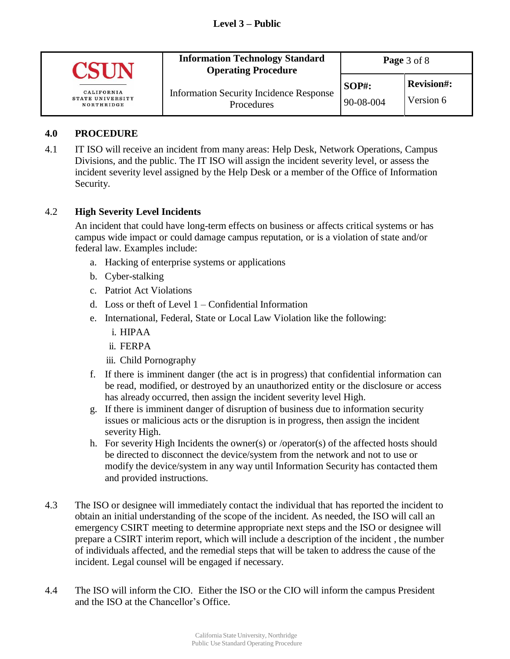# **Level 3 – Public**

| CALIFORNIA<br><b>STATE UNIVERSITY</b><br>NORTHRIDGE | <b>Information Technology Standard</b><br><b>Operating Procedure</b> | Page 3 of 8           |                                |
|-----------------------------------------------------|----------------------------------------------------------------------|-----------------------|--------------------------------|
|                                                     | <b>Information Security Incidence Response</b><br>Procedures         | $SOP#$ :<br>90-08-004 | <b>Revision#:</b><br>Version 6 |

#### **4.0 PROCEDURE**

4.1 IT ISO will receive an incident from many areas: Help Desk, Network Operations, Campus Divisions, and the public. The IT ISO will assign the incident severity level, or assess the incident severity level assigned by the Help Desk or a member of the Office of Information Security.

#### 4.2 **High Severity Level Incidents**

An incident that could have long-term effects on business or affects critical systems or has campus wide impact or could damage campus reputation, or is a violation of state and/or federal law. Examples include:

- a. Hacking of enterprise systems or applications
- b. Cyber-stalking
- c. Patriot Act Violations
- d. Loss or theft of Level 1 Confidential Information
- e. International, Federal, State or Local Law Violation like the following:
	- i. HIPAA
	- ii. FERPA
	- iii. Child Pornography
- f. If there is imminent danger (the act is in progress) that confidential information can be read, modified, or destroyed by an unauthorized entity or the disclosure or access has already occurred, then assign the incident severity level High.
- g. If there is imminent danger of disruption of business due to information security issues or malicious acts or the disruption is in progress, then assign the incident severity High.
- h. For severity High Incidents the owner(s) or /operator(s) of the affected hosts should be directed to disconnect the device/system from the network and not to use or modify the device/system in any way until Information Security has contacted them and provided instructions.
- 4.3 The ISO or designee will immediately contact the individual that has reported the incident to obtain an initial understanding of the scope of the incident. As needed, the ISO will call an emergency CSIRT meeting to determine appropriate next steps and the ISO or designee will prepare a CSIRT interim report, which will include a description of the incident , the number of individuals affected, and the remedial steps that will be taken to address the cause of the incident. Legal counsel will be engaged if necessary.
- 4.4 The ISO will inform the CIO. Either the ISO or the CIO will inform the campus President and the ISO at the Chancellor's Office.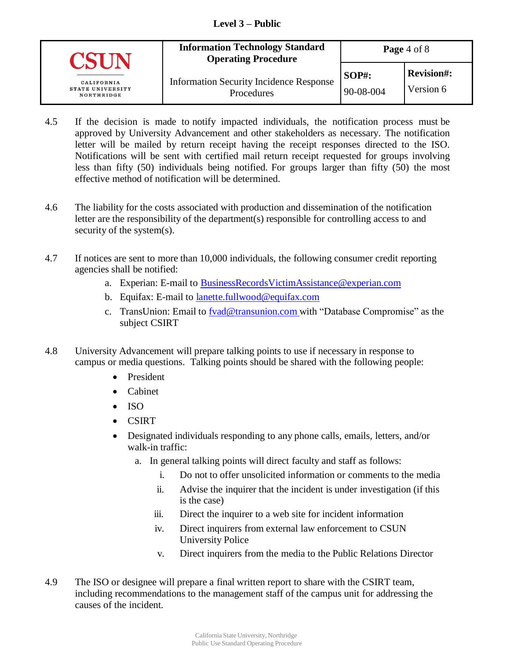#### **Level 3 – Public**

|                                                     | <b>Information Technology Standard</b><br><b>Operating Procedure</b> | Page $4 \text{ of } 8$    |                                |
|-----------------------------------------------------|----------------------------------------------------------------------|---------------------------|--------------------------------|
| CALIFORNIA<br><b>STATE UNIVERSITY</b><br>NORTHRIDGE | <b>Information Security Incidence Response</b><br>Procedures         | <b>SOP#:</b><br>90-08-004 | <b>Revision#:</b><br>Version 6 |

- 4.5 If the decision is made to notify impacted individuals, the notification process must be approved by University Advancement and other stakeholders as necessary. The notification letter will be mailed by return receipt having the receipt responses directed to the ISO. Notifications will be sent with certified mail return receipt requested for groups involving less than fifty (50) individuals being notified. For groups larger than fifty (50) the most effective method of notification will be determined.
- 4.6 The liability for the costs associated with production and dissemination of the notification letter are the responsibility of the department(s) responsible for controlling access to and security of the system(s).
- 4.7 If notices are sent to more than 10,000 individuals, the following consumer credit reporting agencies shall be notified:
	- a. Experian: E-mail to **BusinessRecordsVictimAssistance@experian.com**
	- b. Equifax: E-mail to lanette.fullwood@equifax.com
	- c. TransUnion: Email to fvad@transunion.com with "Database Compromise" as the subject CSIRT
- 4.8 University Advancement will prepare talking points to use if necessary in response to campus or media questions. Talking points should be shared with the following people:
	- President
	- Cabinet
	- $\bullet$  ISO
	- CSIRT
	- Designated individuals responding to any phone calls, emails, letters, and/or walk-in traffic:
		- a. In general talking points will direct faculty and staff as follows:
			- i. Do not to offer unsolicited information or comments to the media
			- ii. Advise the inquirer that the incident is under investigation (if this is the case)
			- iii. Direct the inquirer to a web site for incident information
			- iv. Direct inquirers from external law enforcement to CSUN University Police
			- v. Direct inquirers from the media to the Public Relations Director
- 4.9 The ISO or designee will prepare a final written report to share with the CSIRT team, including recommendations to the management staff of the campus unit for addressing the causes of the incident.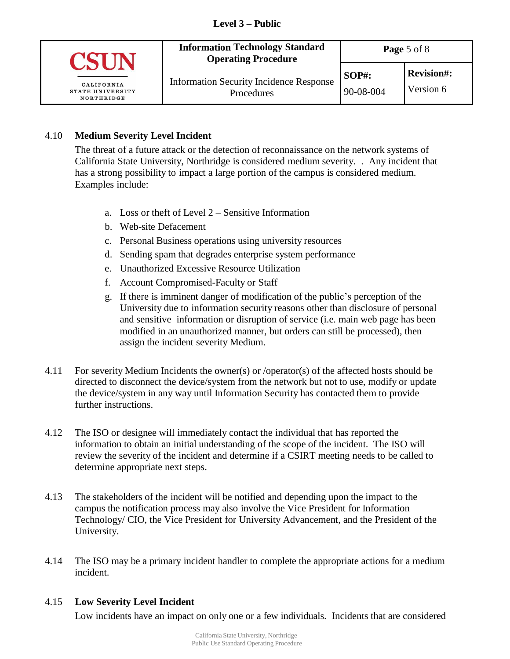

### 4.10 **Medium Severity Level Incident**

The threat of a future attack or the detection of reconnaissance on the network systems of California State University, Northridge is considered medium severity. . Any incident that has a strong possibility to impact a large portion of the campus is considered medium. Examples include:

- a. Loss or theft of Level 2 Sensitive Information
- b. Web-site Defacement
- c. Personal Business operations using university resources
- d. Sending spam that degrades enterprise system performance
- e. Unauthorized Excessive Resource Utilization
- f. Account Compromised-Faculty or Staff
- g. If there is imminent danger of modification of the public's perception of the University due to information security reasons other than disclosure of personal and sensitive information or disruption of service (i.e. main web page has been modified in an unauthorized manner, but orders can still be processed), then assign the incident severity Medium.
- 4.11 For severity Medium Incidents the owner(s) or /operator(s) of the affected hosts should be directed to disconnect the device/system from the network but not to use, modify or update the device/system in any way until Information Security has contacted them to provide further instructions.
- 4.12 The ISO or designee will immediately contact the individual that has reported the information to obtain an initial understanding of the scope of the incident. The ISO will review the severity of the incident and determine if a CSIRT meeting needs to be called to determine appropriate next steps.
- 4.13 The stakeholders of the incident will be notified and depending upon the impact to the campus the notification process may also involve the Vice President for Information Technology/ CIO, the Vice President for University Advancement, and the President of the University.
- 4.14 The ISO may be a primary incident handler to complete the appropriate actions for a medium incident.

### 4.15 **Low Severity Level Incident**

Low incidents have an impact on only one or a few individuals. Incidents that are considered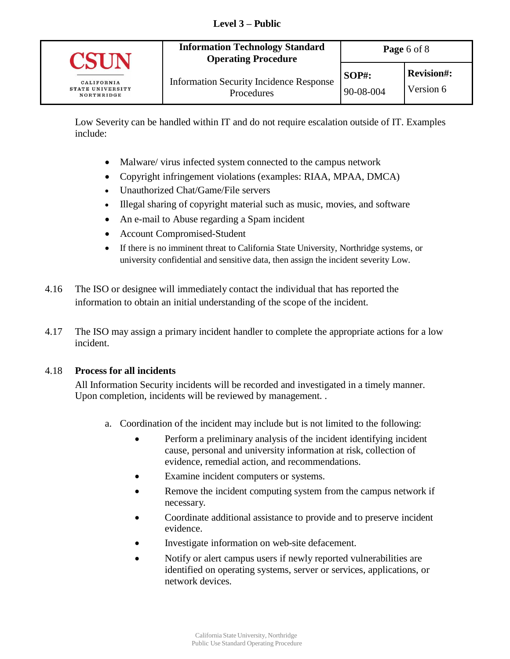

Low Severity can be handled within IT and do not require escalation outside of IT. Examples include:

- Malware/ virus infected system connected to the campus network
- Copyright infringement violations (examples: RIAA, MPAA, DMCA)
- Unauthorized Chat/Game/File servers
- Illegal sharing of copyright material such as music, movies, and software
- An e-mail to Abuse regarding a Spam incident
- Account Compromised-Student
- If there is no imminent threat to California State University, Northridge systems, or university confidential and sensitive data, then assign the incident severity Low.
- 4.16 The ISO or designee will immediately contact the individual that has reported the information to obtain an initial understanding of the scope of the incident.
- 4.17 The ISO may assign a primary incident handler to complete the appropriate actions for a low incident.

### 4.18 **Process for all incidents**

All Information Security incidents will be recorded and investigated in a timely manner. Upon completion, incidents will be reviewed by management. .

- a. Coordination of the incident may include but is not limited to the following:
	- Perform a preliminary analysis of the incident identifying incident cause, personal and university information at risk, collection of evidence, remedial action, and recommendations.
	- Examine incident computers or systems.
	- Remove the incident computing system from the campus network if necessary.
	- Coordinate additional assistance to provide and to preserve incident evidence.
	- Investigate information on web-site defacement.
	- Notify or alert campus users if newly reported vulnerabilities are identified on operating systems, server or services, applications, or network devices.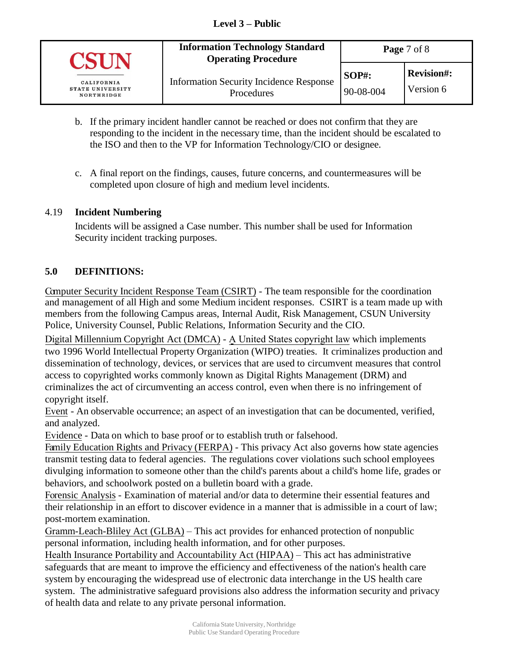| CALIFORNIA<br><b>STATE UNIVERSITY</b><br>NORTHRIDGE | <b>Information Technology Standard</b><br><b>Operating Procedure</b> | Page 7 of 8           |                                |
|-----------------------------------------------------|----------------------------------------------------------------------|-----------------------|--------------------------------|
|                                                     | <b>Information Security Incidence Response</b><br>Procedures         | $SOP#$ :<br>90-08-004 | <b>Revision#:</b><br>Version 6 |

- b. If the primary incident handler cannot be reached or does not confirm that they are responding to the incident in the necessary time, than the incident should be escalated to the ISO and then to the VP for Information Technology/CIO or designee.
- c. A final report on the findings, causes, future concerns, and countermeasures will be completed upon closure of high and medium level incidents.

## 4.19 **Incident Numbering**

Incidents will be assigned a Case number. This number shall be used for Information Security incident tracking purposes.

# **5.0 DEFINITIONS:**

Computer Security Incident Response Team (CSIRT) - The team responsible for the coordination and management of all High and some Medium incident responses. CSIRT is a team made up with members from the following Campus areas, Internal Audit, Risk Management, CSUN University Police, University Counsel, Public Relations, Information Security and the CIO.

Digital Millennium Copyright Act (DMCA) - A United States copyright law which implements two 1996 World Intellectual Property Organization (WIPO) treaties. It criminalizes production and dissemination of technology, devices, or services that are used to circumvent measures that control access to copyrighted works commonly known as Digital Rights Management (DRM) and criminalizes the act of circumventing an access control, even when there is no infringement of copyright itself.

Event - An observable occurrence; an aspect of an investigation that can be documented, verified, and analyzed.

Evidence - Data on which to base proof or to establish truth or falsehood.

Family Education Rights and Privacy (FERPA) - This privacy Act also governs how state agencies transmit testing data to federal agencies. The regulations cover violations such school employees divulging information to someone other than the child's parents about a child's home life, grades or behaviors, and schoolwork posted on a bulletin board with a grade.

Forensic Analysis - Examination of material and/or data to determine their essential features and their relationship in an effort to discover evidence in a manner that is admissible in a court of law; post-mortem examination.

Gramm-Leach-Bliley Act (GLBA) – This act provides for enhanced protection of nonpublic personal information, including health information, and for other purposes.

Health Insurance Portability and Accountability Act (HIPAA) – This act has administrative safeguards that are meant to improve the efficiency and effectiveness of the nation's health care system by encouraging the widespread use of electronic data interchange in the US health care system. The administrative safeguard provisions also address the information security and privacy of health data and relate to any private personal information.